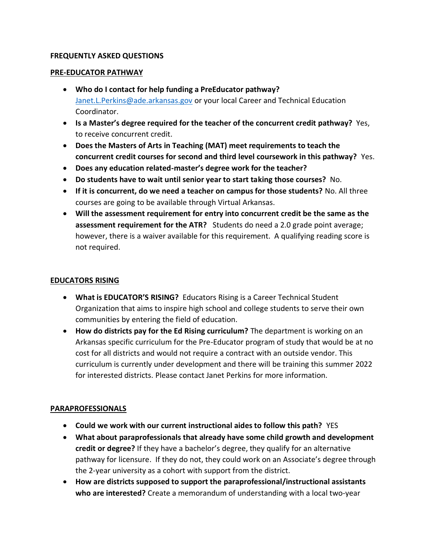## **FREQUENTLY ASKED QUESTIONS**

## **PRE-EDUCATOR PATHWAY**

- **Who do I contact for help funding a PreEducator pathway?** [Janet.L.Perkins@ade.arkansas.gov](mailto:Janet.L.Perkins@ade.arkansas.gov) or your local Career and Technical Education Coordinator.
- **Is a Master's degree required for the teacher of the concurrent credit pathway?** Yes, to receive concurrent credit.
- **Does the Masters of Arts in Teaching (MAT) meet requirements to teach the concurrent credit courses for second and third level coursework in this pathway?** Yes.
- **Does any education related-master's degree work for the teacher?**
- **Do students have to wait until senior year to start taking those courses?** No.
- **If it is concurrent, do we need a teacher on campus for those students?** No. All three courses are going to be available through Virtual Arkansas.
- **Will the assessment requirement for entry into concurrent credit be the same as the assessment requirement for the ATR?** Students do need a 2.0 grade point average; however, there is a waiver available for this requirement. A qualifying reading score is not required.

# **EDUCATORS RISING**

- **What is EDUCATOR'S RISING?** Educators Rising is a Career Technical Student Organization that aims to inspire high school and college students to serve their own communities by entering the field of education.
- **How do districts pay for the Ed Rising curriculum?** The department is working on an Arkansas specific curriculum for the Pre-Educator program of study that would be at no cost for all districts and would not require a contract with an outside vendor. This curriculum is currently under development and there will be training this summer 2022 for interested districts. Please contact Janet Perkins for more information.

# **PARAPROFESSIONALS**

- **Could we work with our current instructional aides to follow this path?** YES
- **What about paraprofessionals that already have some child growth and development credit or degree?** If they have a bachelor's degree, they qualify for an alternative pathway for licensure. If they do not, they could work on an Associate's degree through the 2-year university as a cohort with support from the district.
- **How are districts supposed to support the paraprofessional/instructional assistants who are interested?** Create a memorandum of understanding with a local two-year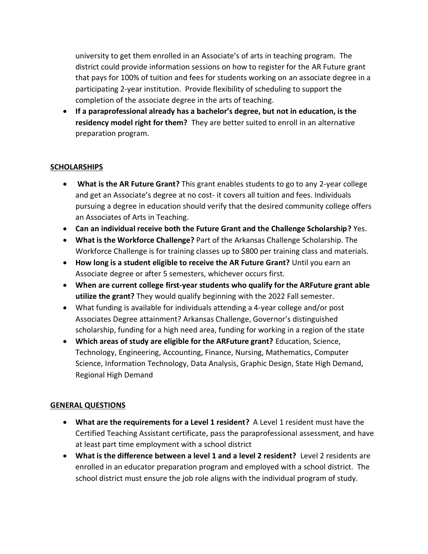university to get them enrolled in an Associate's of arts in teaching program. The district could provide information sessions on how to register for the AR Future grant that pays for 100% of tuition and fees for students working on an associate degree in a participating 2-year institution. Provide flexibility of scheduling to support the completion of the associate degree in the arts of teaching.

• **If a paraprofessional already has a bachelor's degree, but not in education, is the residency model right for them?** They are better suited to enroll in an alternative preparation program.

# **SCHOLARSHIPS**

- **What is the AR Future Grant?** This grant enables students to go to any 2-year college and get an Associate's degree at no cost- it covers all tuition and fees. Individuals pursuing a degree in education should verify that the desired community college offers an Associates of Arts in Teaching.
- **Can an individual receive both the Future Grant and the Challenge Scholarship?** Yes.
- **What is the Workforce Challenge?** Part of the Arkansas Challenge Scholarship. The Workforce Challenge is for training classes up to \$800 per training class and materials.
- **How long is a student eligible to receive the AR Future Grant?** Until you earn an Associate degree or after 5 semesters, whichever occurs first.
- **When are current college first-year students who qualify for the ARFuture grant able utilize the grant?** They would qualify beginning with the 2022 Fall semester.
- What funding is available for individuals attending a 4-year college and/or post Associates Degree attainment? Arkansas Challenge, Governor's distinguished scholarship, funding for a high need area, funding for working in a region of the state
- **Which areas of study are eligible for the ARFuture grant?** Education, Science, Technology, Engineering, Accounting, Finance, Nursing, Mathematics, Computer Science, Information Technology, Data Analysis, Graphic Design, State High Demand, Regional High Demand

# **GENERAL QUESTIONS**

- **What are the requirements for a Level 1 resident?** A Level 1 resident must have the Certified Teaching Assistant certificate, pass the paraprofessional assessment, and have at least part time employment with a school district
- **What is the difference between a level 1 and a level 2 resident?** Level 2 residents are enrolled in an educator preparation program and employed with a school district. The school district must ensure the job role aligns with the individual program of study.